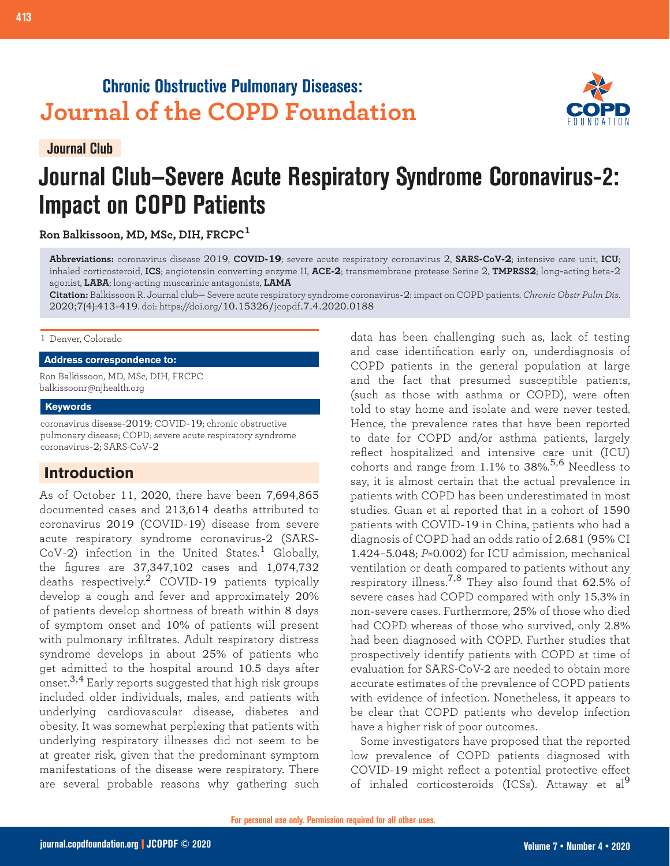## **Chronic Obstructive Pulmonary Diseases: Journal of the COPD Foundation**



# **Journal Club—Severe Acute Respiratory Syndrome Coronavirus-2: Impact on COPD Patients**

**Ron Balkissoon, MD, MSc, DIH, FRCPC<sup>1</sup>**

**Abbreviations:** coronavirus disease 2019, **COVID-19**; severe acute respiratory coronavirus 2, **SARS-CoV-2**; intensive care unit, **ICU**; inhaled corticosteroid, **ICS**; angiotensin converting enzyme II, **ACE-2**; transmembrane protease Serine 2, **TMPRSS2**; long-acting beta-2 agonist, **LABA**; long-acting muscarinic antagonists, **LAMA**

**Citation:** Balkissoon R. Journal club— Severe acute respiratory syndrome coronavirus-2: impact on COPD patients. *Chronic Obstr Pulm Dis*. 2020;7(4):413-419. doi: https://doi.org/10.15326/jcopdf.7.4.2020.0188

#### 1 Denver, Colorado

#### **Address correspondence to:**

Ron Balkissoon, MD, MSc, DIH, FRCPC balkissoonr@njhealth.org

#### **Keywords**

coronavirus disease-2019; COVID-19; chronic obstructive pulmonary disease; COPD; severe acute respiratory syndrome coronavirus-2; SARS-CoV-2

## **Introduction**

As of October 11, 2020, there have been 7,694,865 documented cases and 213,614 deaths attributed to coronavirus 2019 (COVID-19) disease from severe acute respiratory syndrome coronavirus-2 (SARS-CoV-2) infection in the United States.<sup>1</sup> Globally, the figures are 37,347,102 cases and 1,074,732 deaths respectively.2 COVID-19 patients typically develop a cough and fever and approximately 20% of patients develop shortness of breath within 8 days of symptom onset and 10% of patients will present with pulmonary infiltrates. Adult respiratory distress syndrome develops in about 25% of patients who get admitted to the hospital around 10.5 days after onset.<sup>3,4</sup> Early reports suggested that high risk groups included older individuals, males, and patients with underlying cardiovascular disease, diabetes and obesity. It was somewhat perplexing that patients with underlying respiratory illnesses did not seem to be at greater risk, given that the predominant symptom manifestations of the disease were respiratory. There are several probable reasons why gathering such

data has been challenging such as, lack of testing and case identification early on, underdiagnosis of COPD patients in the general population at large and the fact that presumed susceptible patients, (such as those with asthma or COPD), were often told to stay home and isolate and were never tested. Hence, the prevalence rates that have been reported to date for COPD and/or asthma patients, largely reflect hospitalized and intensive care unit (ICU) cohorts and range from 1.1% to 38%. 5,6 Needless to say, it is almost certain that the actual prevalence in patients with COPD has been underestimated in most studies. Guan et al reported that in a cohort of 1590 patients with COVID-19 in China, patients who had a diagnosis of COPD had an odds ratio of 2.681 (95% CI 1.424–5.048; *P*=0.002) for ICU admission, mechanical ventilation or death compared to patients without any respiratory illness.<sup>7,8</sup> They also found that  $62.5\%$  of severe cases had COPD compared with only 15.3% in non-severe cases. Furthermore, 25% of those who died had COPD whereas of those who survived, only 2.8% had been diagnosed with COPD. Further studies that prospectively identify patients with COPD at time of evaluation for SARS-CoV-2 are needed to obtain more accurate estimates of the prevalence of COPD patients with evidence of infection. Nonetheless, it appears to be clear that COPD patients who develop infection have a higher risk of poor outcomes.

Some investigators have proposed that the reported low prevalence of COPD patients diagnosed with COVID-19 might reflect a potential protective effect of inhaled corticosteroids (ICSs). Attaway et al<sup>9</sup>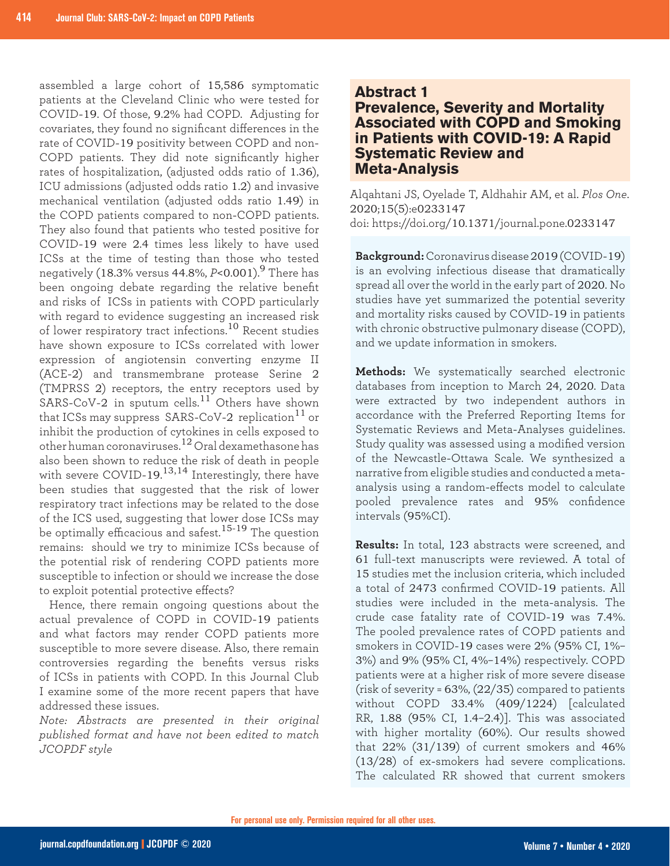assembled a large cohort of 15,586 symptomatic patients at the Cleveland Clinic who were tested for COVID-19. Of those, 9.2% had COPD. Adjusting for covariates, they found no significant differences in the rate of COVID-19 positivity between COPD and non-COPD patients. They did note significantly higher rates of hospitalization, (adjusted odds ratio of 1.36), ICU admissions (adjusted odds ratio 1.2) and invasive mechanical ventilation (adjusted odds ratio 1.49) in the COPD patients compared to non-COPD patients. They also found that patients who tested positive for COVID-19 were 2.4 times less likely to have used ICSs at the time of testing than those who tested negatively (18.3% versus 44.8%, *P*<0.001).9 There has been ongoing debate regarding the relative benefit and risks of ICSs in patients with COPD particularly with regard to evidence suggesting an increased risk of lower respiratory tract infections.10 Recent studies have shown exposure to ICSs correlated with lower expression of angiotensin converting enzyme II (ACE-2) and transmembrane protease Serine 2 (TMPRSS 2) receptors, the entry receptors used by SARS-CoV-2 in sputum cells.<sup>11</sup> Others have shown that ICSs may suppress SARS-CoV-2 replication<sup>11</sup> or inhibit the production of cytokines in cells exposed to other human coronaviruses.12 Oral dexamethasone has also been shown to reduce the risk of death in people with severe COVID-19. 13,14 Interestingly, there have been studies that suggested that the risk of lower respiratory tract infections may be related to the dose of the ICS used, suggesting that lower dose ICSs may be optimally efficacious and safest.15-19 The question remains: should we try to minimize ICSs because of the potential risk of rendering COPD patients more susceptible to infection or should we increase the dose to exploit potential protective effects?

Hence, there remain ongoing questions about the actual prevalence of COPD in COVID-19 patients and what factors may render COPD patients more susceptible to more severe disease. Also, there remain controversies regarding the benefits versus risks of ICSs in patients with COPD. In this Journal Club I examine some of the more recent papers that have addressed these issues.

*Note: Abstracts are presented in their original published format and have not been edited to match JCOPDF style*

#### **Abstract 1**

**Prevalence, Severity and Mortality Associated with COPD and Smoking in Patients with COVID-19: A Rapid Systematic Review and Meta-Analysis**

Alqahtani JS, Oyelade T, Aldhahir AM, et al. *Plos One*. 2020;15(5):e0233147 doi: https://doi.org/10.1371/journal.pone.0233147

**Background:** Coronavirus disease 2019 (COVID-19) is an evolving infectious disease that dramatically spread all over the world in the early part of 2020. No studies have yet summarized the potential severity and mortality risks caused by COVID-19 in patients with chronic obstructive pulmonary disease (COPD), and we update information in smokers.

**Methods:** We systematically searched electronic databases from inception to March 24, 2020. Data were extracted by two independent authors in accordance with the Preferred Reporting Items for Systematic Reviews and Meta-Analyses guidelines. Study quality was assessed using a modified version of the Newcastle-Ottawa Scale. We synthesized a narrative from eligible studies and conducted a metaanalysis using a random-effects model to calculate pooled prevalence rates and 95% confidence intervals (95%CI).

**Results:** In total, 123 abstracts were screened, and 61 full-text manuscripts were reviewed. A total of 15 studies met the inclusion criteria, which included a total of 2473 confirmed COVID-19 patients. All studies were included in the meta-analysis. The crude case fatality rate of COVID-19 was 7.4%. The pooled prevalence rates of COPD patients and smokers in COVID-19 cases were 2% (95% CI, 1%– 3%) and 9% (95% CI, 4%–14%) respectively. COPD patients were at a higher risk of more severe disease (risk of severity =  $63\%$ ,  $(22/35)$  compared to patients without COPD 33.4% (409/1224) [calculated RR, 1.88 (95% CI, 1.4–2.4)]. This was associated with higher mortality (60%). Our results showed that  $22\%$  (31/139) of current smokers and 46% (13/28) of ex-smokers had severe complications. The calculated RR showed that current smokers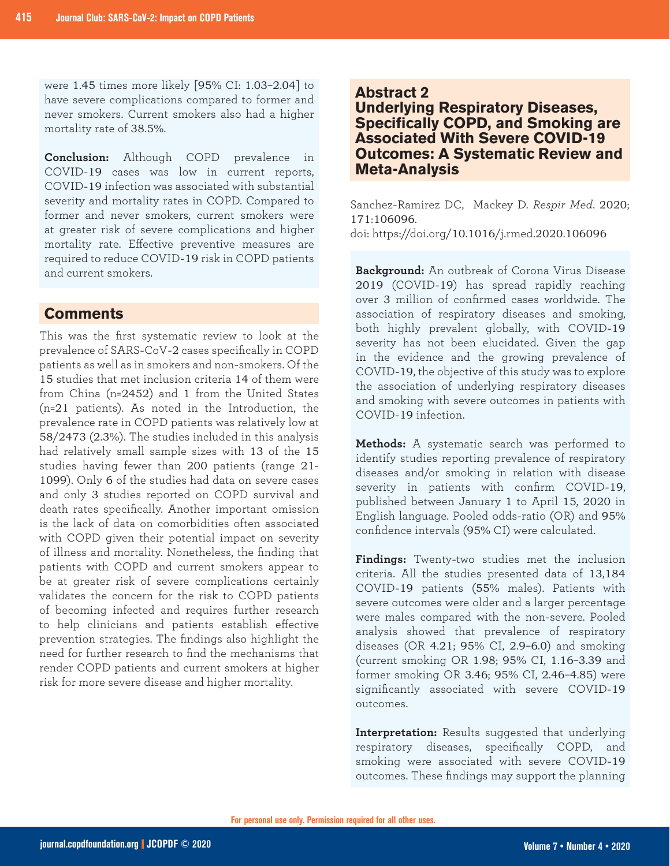were 1.45 times more likely [95% CI: 1.03–2.04] to have severe complications compared to former and never smokers. Current smokers also had a higher mortality rate of 38.5%.

**Conclusion:** Although COPD prevalence in COVID-19 cases was low in current reports, COVID-19 infection was associated with substantial severity and mortality rates in COPD. Compared to former and never smokers, current smokers were at greater risk of severe complications and higher mortality rate. Effective preventive measures are required to reduce COVID-19 risk in COPD patients and current smokers.

#### **Comments**

This was the first systematic review to look at the prevalence of SARS-CoV-2 cases specifically in COPD patients as well as in smokers and non-smokers. Of the 15 studies that met inclusion criteria 14 of them were from China (n=2452) and 1 from the United States (n=21 patients). As noted in the Introduction, the prevalence rate in COPD patients was relatively low at 58/2473 (2.3%). The studies included in this analysis had relatively small sample sizes with 13 of the 15 studies having fewer than 200 patients (range 21- 1099). Only 6 of the studies had data on severe cases and only 3 studies reported on COPD survival and death rates specifically. Another important omission is the lack of data on comorbidities often associated with COPD given their potential impact on severity of illness and mortality. Nonetheless, the finding that patients with COPD and current smokers appear to be at greater risk of severe complications certainly validates the concern for the risk to COPD patients of becoming infected and requires further research to help clinicians and patients establish effective prevention strategies. The findings also highlight the need for further research to find the mechanisms that render COPD patients and current smokers at higher risk for more severe disease and higher mortality.

#### **Abstract 2**

**Underlying Respiratory Diseases, Specifically COPD, and Smoking are Associated With Severe COVID-19 Outcomes: A Systematic Review and Meta-Analysis**

Sanchez-Ramirez DC, Mackey D. *Respir Med*. 2020; 171:106096. doi: https://doi.org/10.1016/j.rmed.2020.106096

**Background:** An outbreak of Corona Virus Disease 2019 (COVID-19) has spread rapidly reaching over 3 million of confirmed cases worldwide. The association of respiratory diseases and smoking, both highly prevalent globally, with COVID-19 severity has not been elucidated. Given the gap in the evidence and the growing prevalence of COVID-19, the objective of this study was to explore the association of underlying respiratory diseases and smoking with severe outcomes in patients with COVID-19 infection.

**Methods:** A systematic search was performed to identify studies reporting prevalence of respiratory diseases and/or smoking in relation with disease severity in patients with confirm COVID-19, published between January 1 to April 15, 2020 in English language. Pooled odds-ratio (OR) and 95% confidence intervals (95% CI) were calculated.

**Findings:** Twenty-two studies met the inclusion criteria. All the studies presented data of 13,184 COVID-19 patients (55% males). Patients with severe outcomes were older and a larger percentage were males compared with the non-severe. Pooled analysis showed that prevalence of respiratory diseases (OR 4.21; 95% CI, 2.9–6.0) and smoking (current smoking OR 1.98; 95% CI, 1.16–3.39 and former smoking OR 3.46; 95% CI, 2.46–4.85) were significantly associated with severe COVID-19 outcomes.

**Interpretation:** Results suggested that underlying respiratory diseases, specifically COPD, and smoking were associated with severe COVID-19 outcomes. These findings may support the planning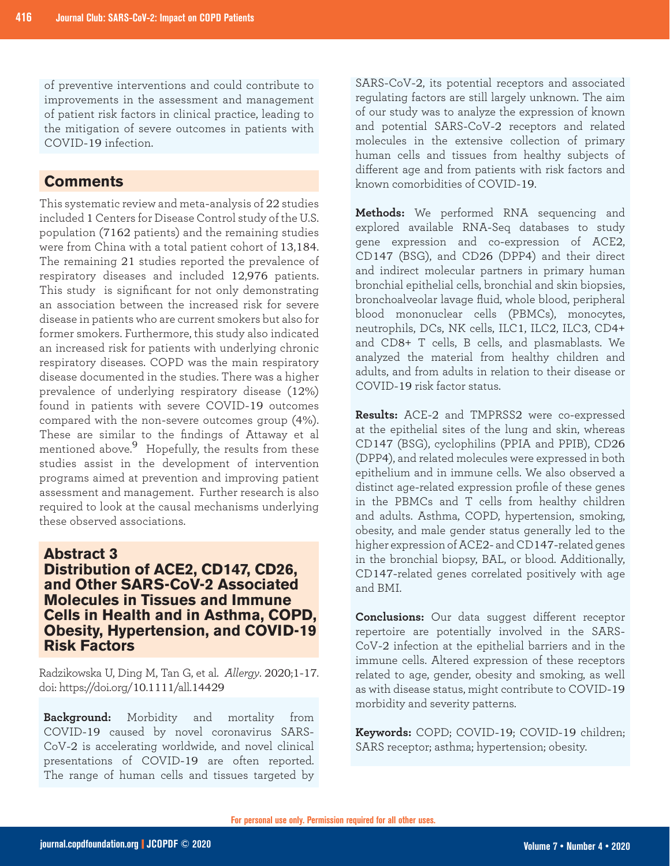of preventive interventions and could contribute to improvements in the assessment and management of patient risk factors in clinical practice, leading to the mitigation of severe outcomes in patients with COVID-19 infection.

### **Comments**

This systematic review and meta-analysis of 22 studies included 1 Centers for Disease Control study of the U.S. population (7162 patients) and the remaining studies were from China with a total patient cohort of 13,184. The remaining 21 studies reported the prevalence of respiratory diseases and included 12,976 patients. This study is significant for not only demonstrating an association between the increased risk for severe disease in patients who are current smokers but also for former smokers. Furthermore, this study also indicated an increased risk for patients with underlying chronic respiratory diseases. COPD was the main respiratory disease documented in the studies. There was a higher prevalence of underlying respiratory disease (12%) found in patients with severe COVID-19 outcomes compared with the non-severe outcomes group (4%). These are similar to the findings of Attaway et al mentioned above.<sup>9</sup> Hopefully, the results from these studies assist in the development of intervention programs aimed at prevention and improving patient assessment and management. Further research is also required to look at the causal mechanisms underlying these observed associations.

#### **Abstract 3**

### **Distribution of ACE2, CD147, CD26, and Other SARS-CoV-2 Associated Molecules in Tissues and Immune Cells in Health and in Asthma, COPD, Obesity, Hypertension, and COVID-19 Risk Factors**

Radzikowska U, Ding M, Tan G, et al. *Allergy*. 2020;1-17. doi: https://doi.org/10.1111/all.14429

**Background:** Morbidity and mortality from COVID-19 caused by novel coronavirus SARS-CoV-2 is accelerating worldwide, and novel clinical presentations of COVID-19 are often reported. The range of human cells and tissues targeted by SARS-CoV-2, its potential receptors and associated regulating factors are still largely unknown. The aim of our study was to analyze the expression of known and potential SARS-CoV-2 receptors and related molecules in the extensive collection of primary human cells and tissues from healthy subjects of different age and from patients with risk factors and known comorbidities of COVID-19.

**Methods:** We performed RNA sequencing and explored available RNA-Seq databases to study gene expression and co-expression of ACE2, CD147 (BSG), and CD26 (DPP4) and their direct and indirect molecular partners in primary human bronchial epithelial cells, bronchial and skin biopsies, bronchoalveolar lavage fluid, whole blood, peripheral blood mononuclear cells (PBMCs), monocytes, neutrophils, DCs, NK cells, ILC1, ILC2, ILC3, CD4+ and CD8+ T cells, B cells, and plasmablasts. We analyzed the material from healthy children and adults, and from adults in relation to their disease or COVID-19 risk factor status.

**Results:** ACE-2 and TMPRSS2 were co-expressed at the epithelial sites of the lung and skin, whereas CD147 (BSG), cyclophilins (PPIA and PPIB), CD26 (DPP4), and related molecules were expressed in both epithelium and in immune cells. We also observed a distinct age-related expression profile of these genes in the PBMCs and T cells from healthy children and adults. Asthma, COPD, hypertension, smoking, obesity, and male gender status generally led to the higher expression of ACE2- and CD147-related genes in the bronchial biopsy, BAL, or blood. Additionally, CD147-related genes correlated positively with age and BMI.

**Conclusions:** Our data suggest different receptor repertoire are potentially involved in the SARS-CoV-2 infection at the epithelial barriers and in the immune cells. Altered expression of these receptors related to age, gender, obesity and smoking, as well as with disease status, might contribute to COVID-19 morbidity and severity patterns.

**Keywords:** COPD; COVID-19; COVID-19 children; SARS receptor; asthma; hypertension; obesity.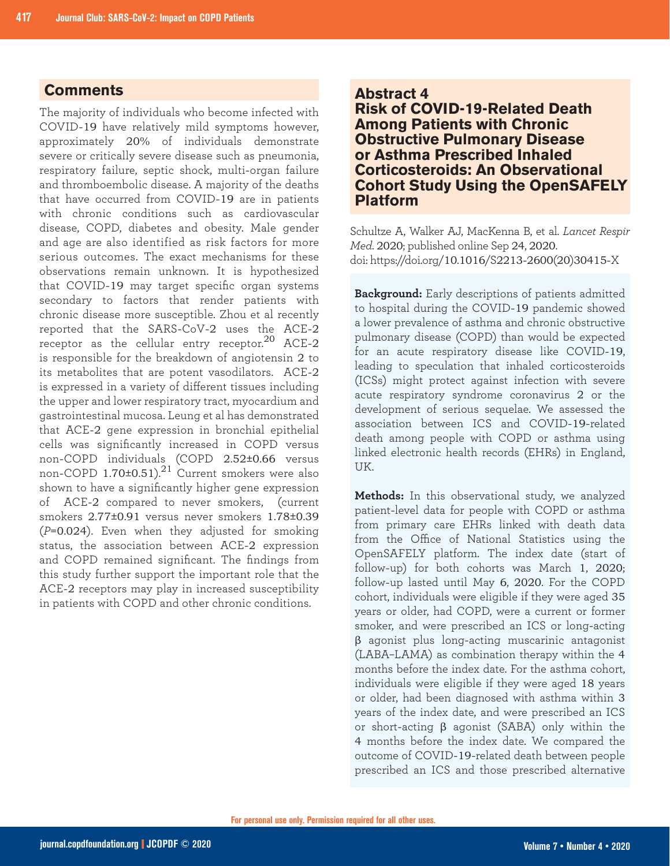### **Comments**

The majority of individuals who become infected with COVID-19 have relatively mild symptoms however, approximately 20% of individuals demonstrate severe or critically severe disease such as pneumonia, respiratory failure, septic shock, multi-organ failure and thromboembolic disease. A majority of the deaths that have occurred from COVID-19 are in patients with chronic conditions such as cardiovascular disease, COPD, diabetes and obesity. Male gender and age are also identified as risk factors for more serious outcomes. The exact mechanisms for these observations remain unknown. It is hypothesized that COVID-19 may target specific organ systems secondary to factors that render patients with chronic disease more susceptible. Zhou et al recently reported that the SARS-CoV-2 uses the ACE-2 receptor as the cellular entry receptor. $^{20}$  ACE-2 is responsible for the breakdown of angiotensin 2 to its metabolites that are potent vasodilators. ACE-2 is expressed in a variety of different tissues including the upper and lower respiratory tract, myocardium and gastrointestinal mucosa. Leung et al has demonstrated that ACE-2 gene expression in bronchial epithelial cells was significantly increased in COPD versus non-COPD individuals (COPD 2.52±0.66 versus non-COPD 1.70±0.51).<sup>21</sup> Current smokers were also shown to have a significantly higher gene expression of ACE-2 compared to never smokers, (current smokers 2.77±0.91 versus never smokers 1.78±0.39 (*P*=0.024). Even when they adjusted for smoking status, the association between ACE-2 expression and COPD remained significant. The findings from this study further support the important role that the ACE-2 receptors may play in increased susceptibility in patients with COPD and other chronic conditions.

#### **Abstract 4**

**Risk of COVID-19-Related Death Among Patients with Chronic Obstructive Pulmonary Disease or Asthma Prescribed Inhaled Corticosteroids: An Observational Cohort Study Using the OpenSAFELY Platform**

Schultze A, Walker AJ, MacKenna B, et al. *Lancet Respir Med*. 2020; published online Sep 24, 2020. doi: https://doi.org/10.1016/S2213-2600(20)30415-X

**Background:** Early descriptions of patients admitted to hospital during the COVID-19 pandemic showed a lower prevalence of asthma and chronic obstructive pulmonary disease (COPD) than would be expected for an acute respiratory disease like COVID-19, leading to speculation that inhaled corticosteroids (ICSs) might protect against infection with severe acute respiratory syndrome coronavirus 2 or the development of serious sequelae. We assessed the association between ICS and COVID-19-related death among people with COPD or asthma using linked electronic health records (EHRs) in England, UK.

**Methods:** In this observational study, we analyzed patient-level data for people with COPD or asthma from primary care EHRs linked with death data from the Office of National Statistics using the OpenSAFELY platform. The index date (start of follow-up) for both cohorts was March 1, 2020; follow-up lasted until May 6, 2020. For the COPD cohort, individuals were eligible if they were aged 35 years or older, had COPD, were a current or former smoker, and were prescribed an ICS or long-acting β agonist plus long-acting muscarinic antagonist (LABA–LAMA) as combination therapy within the 4 months before the index date. For the asthma cohort, individuals were eligible if they were aged 18 years or older, had been diagnosed with asthma within 3 years of the index date, and were prescribed an ICS or short-acting β agonist (SABA) only within the 4 months before the index date. We compared the outcome of COVID-19-related death between people prescribed an ICS and those prescribed alternative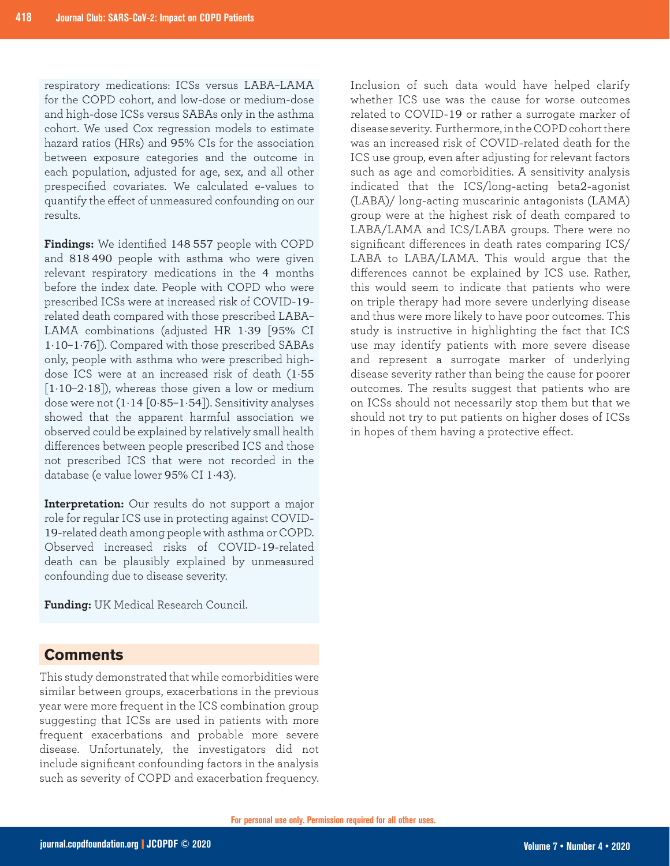respiratory medications: ICSs versus LABA–LAMA for the COPD cohort, and low-dose or medium-dose and high-dose ICSs versus SABAs only in the asthma cohort. We used Cox regression models to estimate hazard ratios (HRs) and 95% CIs for the association between exposure categories and the outcome in each population, adjusted for age, sex, and all other prespecified covariates. We calculated e-values to quantify the effect of unmeasured confounding on our results.

**Findings:** We identified 148 557 people with COPD and 818 490 people with asthma who were given relevant respiratory medications in the 4 months before the index date. People with COPD who were prescribed ICSs were at increased risk of COVID-19 related death compared with those prescribed LABA– LAMA combinations (adjusted HR 1·39 [95% CI 1·10–1·76]). Compared with those prescribed SABAs only, people with asthma who were prescribed highdose ICS were at an increased risk of death (1·55  $[1.10-2.18]$ , whereas those given a low or medium dose were not  $(1.14 [0.85 - 1.54])$ . Sensitivity analyses showed that the apparent harmful association we observed could be explained by relatively small health differences between people prescribed ICS and those not prescribed ICS that were not recorded in the database (e value lower 95% CI 1·43).

**Interpretation:** Our results do not support a major role for regular ICS use in protecting against COVID-19-related death among people with asthma or COPD. Observed increased risks of COVID-19-related death can be plausibly explained by unmeasured confounding due to disease severity.

**Funding:** UK Medical Research Council.

## **Comments**

This study demonstrated that while comorbidities were similar between groups, exacerbations in the previous year were more frequent in the ICS combination group suggesting that ICSs are used in patients with more frequent exacerbations and probable more severe disease. Unfortunately, the investigators did not include significant confounding factors in the analysis such as severity of COPD and exacerbation frequency.

Inclusion of such data would have helped clarify whether ICS use was the cause for worse outcomes related to COVID-19 or rather a surrogate marker of disease severity. Furthermore, in the COPD cohort there was an increased risk of COVID-related death for the ICS use group, even after adjusting for relevant factors such as age and comorbidities. A sensitivity analysis indicated that the ICS/long-acting beta2-agonist (LABA)/ long-acting muscarinic antagonists (LAMA) group were at the highest risk of death compared to LABA/LAMA and ICS/LABA groups. There were no significant differences in death rates comparing ICS/ LABA to LABA/LAMA. This would argue that the differences cannot be explained by ICS use. Rather, this would seem to indicate that patients who were on triple therapy had more severe underlying disease and thus were more likely to have poor outcomes. This study is instructive in highlighting the fact that ICS use may identify patients with more severe disease and represent a surrogate marker of underlying disease severity rather than being the cause for poorer outcomes. The results suggest that patients who are on ICSs should not necessarily stop them but that we should not try to put patients on higher doses of ICSs in hopes of them having a protective effect.